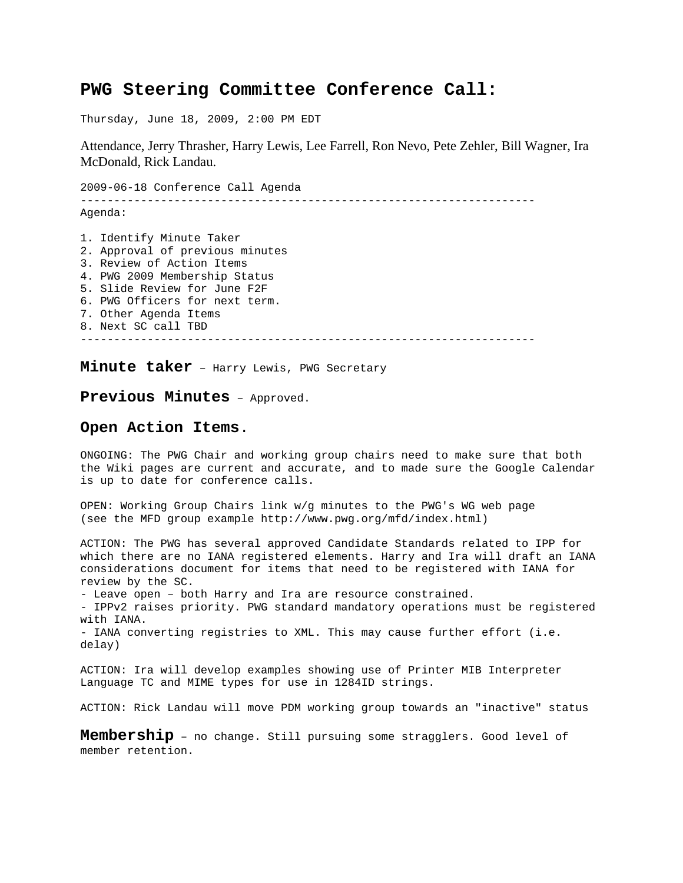## **PWG Steering Committee Conference Call:**

Thursday, June 18, 2009, 2:00 PM EDT

Attendance, Jerry Thrasher, Harry Lewis, Lee Farrell, Ron Nevo, Pete Zehler, Bill Wagner, Ira McDonald, Rick Landau.

2009-06-18 Conference Call Agenda -------------------------------------------------------------------- Agenda: 1. Identify Minute Taker 2. Approval of previous minutes 3. Review of Action Items 4. PWG 2009 Membership Status 5. Slide Review for June F2F 6. PWG Officers for next term. 7. Other Agenda Items 8. Next SC call TBD --------------------------------------------------------------------

**Minute taker** – Harry Lewis, PWG Secretary

## **Previous Minutes** – Approved.

## **Open Action Items**.

ONGOING: The PWG Chair and working group chairs need to make sure that both the Wiki pages are current and accurate, and to made sure the Google Calendar is up to date for conference calls.

OPEN: Working Group Chairs link w/g minutes to the PWG's WG web page (see the MFD group example http://www.pwg.org/mfd/index.html)

ACTION: The PWG has several approved Candidate Standards related to IPP for which there are no IANA registered elements. Harry and Ira will draft an IANA considerations document for items that need to be registered with IANA for review by the SC. - Leave open – both Harry and Ira are resource constrained.

- IPPv2 raises priority. PWG standard mandatory operations must be registered with IANA.

- IANA converting registries to XML. This may cause further effort (i.e. delay)

ACTION: Ira will develop examples showing use of Printer MIB Interpreter Language TC and MIME types for use in 1284ID strings.

ACTION: Rick Landau will move PDM working group towards an "inactive" status

**Membership** – no change. Still pursuing some stragglers. Good level of member retention.